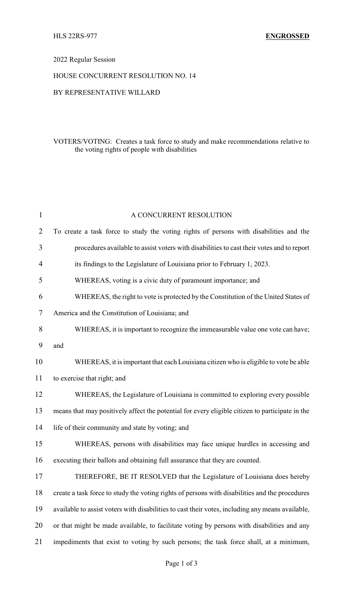## 2022 Regular Session

## HOUSE CONCURRENT RESOLUTION NO. 14

## BY REPRESENTATIVE WILLARD

## VOTERS/VOTING: Creates a task force to study and make recommendations relative to the voting rights of people with disabilities

| 1              | A CONCURRENT RESOLUTION                                                                          |
|----------------|--------------------------------------------------------------------------------------------------|
| $\overline{2}$ | To create a task force to study the voting rights of persons with disabilities and the           |
| 3              | procedures available to assist voters with disabilities to cast their votes and to report        |
| 4              | its findings to the Legislature of Louisiana prior to February 1, 2023.                          |
| 5              | WHEREAS, voting is a civic duty of paramount importance; and                                     |
| 6              | WHEREAS, the right to vote is protected by the Constitution of the United States of              |
| 7              | America and the Constitution of Louisiana; and                                                   |
| 8              | WHEREAS, it is important to recognize the immeasurable value one vote can have;                  |
| 9              | and                                                                                              |
| 10             | WHEREAS, it is important that each Louisiana citizen who is eligible to vote be able             |
| 11             | to exercise that right; and                                                                      |
| 12             | WHEREAS, the Legislature of Louisiana is committed to exploring every possible                   |
| 13             | means that may positively affect the potential for every eligible citizen to participate in the  |
| 14             | life of their community and state by voting; and                                                 |
| 15             | WHEREAS, persons with disabilities may face unique hurdles in accessing and                      |
| 16             | executing their ballots and obtaining full assurance that they are counted.                      |
| 17             | THEREFORE, BE IT RESOLVED that the Legislature of Louisiana does hereby                          |
| 18             | create a task force to study the voting rights of persons with disabilities and the procedures   |
| 19             | available to assist voters with disabilities to cast their votes, including any means available, |
| 20             | or that might be made available, to facilitate voting by persons with disabilities and any       |
| 21             | impediments that exist to voting by such persons; the task force shall, at a minimum,            |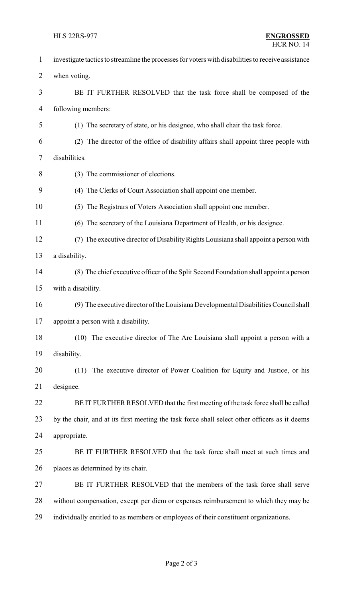| $\mathbf{1}$   | investigate tactics to streamline the processes for voters with disabilities to receive assistance |
|----------------|----------------------------------------------------------------------------------------------------|
| $\overline{2}$ | when voting.                                                                                       |
| 3              | BE IT FURTHER RESOLVED that the task force shall be composed of the                                |
| 4              | following members:                                                                                 |
| 5              | (1) The secretary of state, or his designee, who shall chair the task force.                       |
| 6              | (2) The director of the office of disability affairs shall appoint three people with               |
| 7              | disabilities.                                                                                      |
| 8              | (3) The commissioner of elections.                                                                 |
| 9              | (4) The Clerks of Court Association shall appoint one member.                                      |
| 10             | (5) The Registrars of Voters Association shall appoint one member.                                 |
| 11             | (6) The secretary of the Louisiana Department of Health, or his designee.                          |
| 12             | (7) The executive director of Disability Rights Louisiana shall appoint a person with              |
| 13             | a disability.                                                                                      |
| 14             | (8) The chief executive officer of the Split Second Foundation shall appoint a person              |
| 15             | with a disability.                                                                                 |
| 16             | (9) The executive director of the Louisiana Developmental Disabilities Council shall               |
| 17             | appoint a person with a disability.                                                                |
| 18             | (10) The executive director of The Arc Louisiana shall appoint a person with a                     |
| 19             | disability.                                                                                        |
| 20             | The executive director of Power Coalition for Equity and Justice, or his<br>(11)                   |
| 21             | designee.                                                                                          |
| 22             | BE IT FURTHER RESOLVED that the first meeting of the task force shall be called                    |
| 23             | by the chair, and at its first meeting the task force shall select other officers as it deems      |
| 24             | appropriate.                                                                                       |
| 25             | BE IT FURTHER RESOLVED that the task force shall meet at such times and                            |
| 26             | places as determined by its chair.                                                                 |
| 27             | BE IT FURTHER RESOLVED that the members of the task force shall serve                              |
| 28             | without compensation, except per diem or expenses reimbursement to which they may be               |
| 29             | individually entitled to as members or employees of their constituent organizations.               |